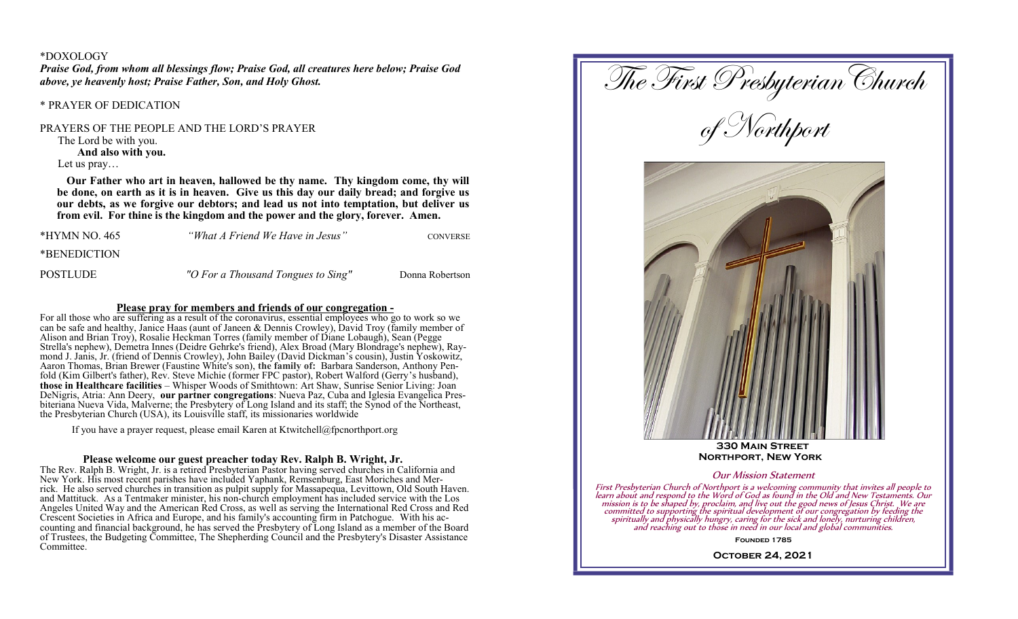#### \*DOXOLOGY

*Praise God, from whom all blessings flow; Praise God, all creatures here below; Praise God above, ye heavenly host; Praise Father, Son, and Holy Ghost.*

### \* PRAYER OF DEDICATION

PRAYERS OF THE PEOPLE AND THE LORD'S PRAYER

The Lord be with you.

**And also with you.**

Let us pray…

 **Our Father who art in heaven, hallowed be thy name. Thy kingdom come, thy will be done, on earth as it is in heaven. Give us this day our daily bread; and forgive us our debts, as we forgive our debtors; and lead us not into temptation, but deliver us from evil. For thine is the kingdom and the power and the glory, forever. Amen.**

| *HYMN NO. 465 | "What A Friend We Have in Jesus"   | <b>CONVERSE</b> |
|---------------|------------------------------------|-----------------|
| *BENEDICTION  |                                    |                 |
| POSTLUDE      | "O For a Thousand Tongues to Sing" | Donna Robertson |

### **Please pray for members and friends of our congregation -**

For all those who are suffering as a result of the coronavirus, essential employees who go to work so we can be safe and healthy, Janice Haas (aunt of Janeen & Dennis Crowley), David Troy (family member of Alison and Brian Troy), Rosalie Heckman Torres (family member of Diane Lobaugh), Sean (Pegge Strella's nephew), Demetra Innes (Deidre Gehrke's friend), Alex Broad (Mary Blondrage's nephew), Raymond J. Janis, Jr. (friend of Dennis Crowley), John Bailey (David Dickman's cousin), Justin Yoskowitz, Aaron Thomas, Brian Brewer (Faustine White's son), **the family of:** Barbara Sanderson, Anthony Penfold (Kim Gilbert's father), Rev. Steve Michie (former FPC pastor), Robert Walford (Gerry's husband), **those in Healthcare facilities** – Whisper Woods of Smithtown: Art Shaw, Sunrise Senior Living: Joan DeNigris, Atria: Ann Deery, **our partner congregations**: Nueva Paz, Cuba and Iglesia Evangelica Presbiteriana Nueva Vida, Malverne; the Presbytery of Long Island and its staff; the Synod of the Northeast, the Presbyterian Church (USA), its Louisville staff, its missionaries worldwide

If you have a prayer request, please email Karen at Ktwitchell@fpcnorthport.org

### **Please welcome our guest preacher today Rev. Ralph B. Wright, Jr.**

The Rev. Ralph B. Wright, Jr. is a retired Presbyterian Pastor having served churches in California and New York. His most recent parishes have included Yaphank, Remsenburg, East Moriches and Merrick. He also served churches in transition as pulpit supply for Massapequa, Levittown, Old South Haven. and Mattituck. As a Tentmaker minister, his non-church employment has included service with the Los Angeles United Way and the American Red Cross, as well as serving the International Red Cross and Red Crescent Societies in Africa and Europe, and his family's accounting firm in Patchogue. With his accounting and financial background, he has served the Presbytery of Long Island as a member of the Board of Trustees, the Budgeting Committee, The Shepherding Council and the Presbytery's Disaster Assistance Committee.

The First Presbyterian Church of Northport  **330 Main Street Northport, New York** Our Mission Statement First Presbyterian Church of Northport is a welcoming community that invites all people to learn about and respond to the Word of God as found in the Old and New Testaments. Our mission is to be shaped by, proclaim, and li **Founded 1785**

**October 24, 2021**